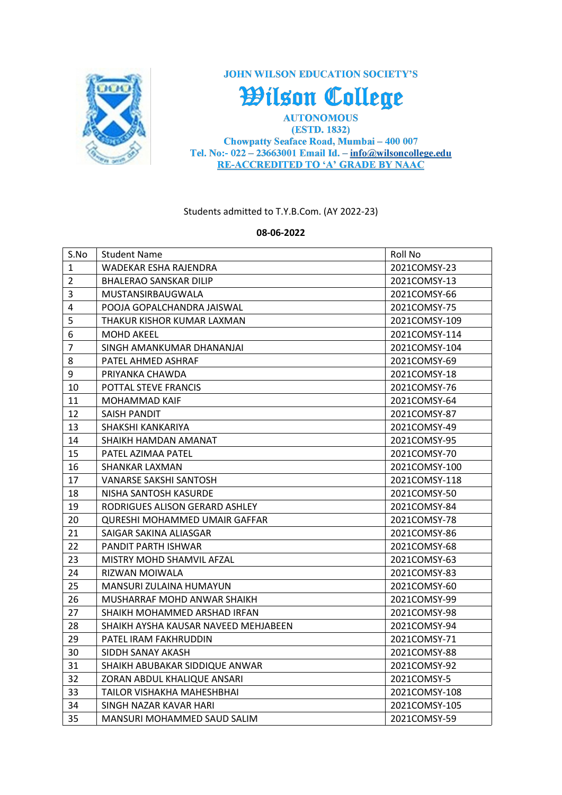

**JOHN WILSON EDUCATION SOCIETY'S** 

Wilson College

**AUTONOMOUS** (ESTD. 1832) Chowpatty Seaface Road, Mumbai - 400 007 Tel. No:-  $022 - 23663001$  Email Id. -  $info@wilsoncollege.edu$ **RE-ACCREDITED TO 'A' GRADE BY NAAC** 

Students admitted to T.Y.B.Com. (AY 2022-23)

**08-06-2022**

| S.No           | <b>Student Name</b>                  | Roll No       |
|----------------|--------------------------------------|---------------|
| $\mathbf{1}$   | WADEKAR ESHA RAJENDRA                | 2021COMSY-23  |
| $\overline{2}$ | <b>BHALERAO SANSKAR DILIP</b>        | 2021COMSY-13  |
| 3              | MUSTANSIRBAUGWALA                    | 2021COMSY-66  |
| 4              | POOJA GOPALCHANDRA JAISWAL           | 2021COMSY-75  |
| 5              | THAKUR KISHOR KUMAR LAXMAN           | 2021COMSY-109 |
| 6              | <b>MOHD AKEEL</b>                    | 2021COMSY-114 |
| $\overline{7}$ | SINGH AMANKUMAR DHANANJAI            | 2021COMSY-104 |
| 8              | PATEL AHMED ASHRAF                   | 2021COMSY-69  |
| 9              | PRIYANKA CHAWDA                      | 2021COMSY-18  |
| 10             | POTTAL STEVE FRANCIS                 | 2021COMSY-76  |
| 11             | <b>MOHAMMAD KAIF</b>                 | 2021COMSY-64  |
| 12             | SAISH PANDIT                         | 2021COMSY-87  |
| 13             | SHAKSHI KANKARIYA                    | 2021COMSY-49  |
| 14             | SHAIKH HAMDAN AMANAT                 | 2021COMSY-95  |
| 15             | PATEL AZIMAA PATEL                   | 2021COMSY-70  |
| 16             | SHANKAR LAXMAN                       | 2021COMSY-100 |
| 17             | VANARSE SAKSHI SANTOSH               | 2021COMSY-118 |
| 18             | NISHA SANTOSH KASURDE                | 2021COMSY-50  |
| 19             | RODRIGUES ALISON GERARD ASHLEY       | 2021COMSY-84  |
| 20             | <b>QURESHI MOHAMMED UMAIR GAFFAR</b> | 2021COMSY-78  |
| 21             | SAIGAR SAKINA ALIASGAR               | 2021COMSY-86  |
| 22             | PANDIT PARTH ISHWAR                  | 2021COMSY-68  |
| 23             | MISTRY MOHD SHAMVIL AFZAL            | 2021COMSY-63  |
| 24             | RIZWAN MOIWALA                       | 2021COMSY-83  |
| 25             | MANSURI ZULAINA HUMAYUN              | 2021COMSY-60  |
| 26             | MUSHARRAF MOHD ANWAR SHAIKH          | 2021COMSY-99  |
| 27             | SHAIKH MOHAMMED ARSHAD IRFAN         | 2021COMSY-98  |
| 28             | SHAIKH AYSHA KAUSAR NAVEED MEHJABEEN | 2021COMSY-94  |
| 29             | PATEL IRAM FAKHRUDDIN                | 2021COMSY-71  |
| 30             | SIDDH SANAY AKASH                    | 2021COMSY-88  |
| 31             | SHAIKH ABUBAKAR SIDDIQUE ANWAR       | 2021COMSY-92  |
| 32             | ZORAN ABDUL KHALIQUE ANSARI          | 2021COMSY-5   |
| 33             | TAILOR VISHAKHA MAHESHBHAI           | 2021COMSY-108 |
| 34             | SINGH NAZAR KAVAR HARI               | 2021COMSY-105 |
| 35             | MANSURI MOHAMMED SAUD SALIM          | 2021COMSY-59  |